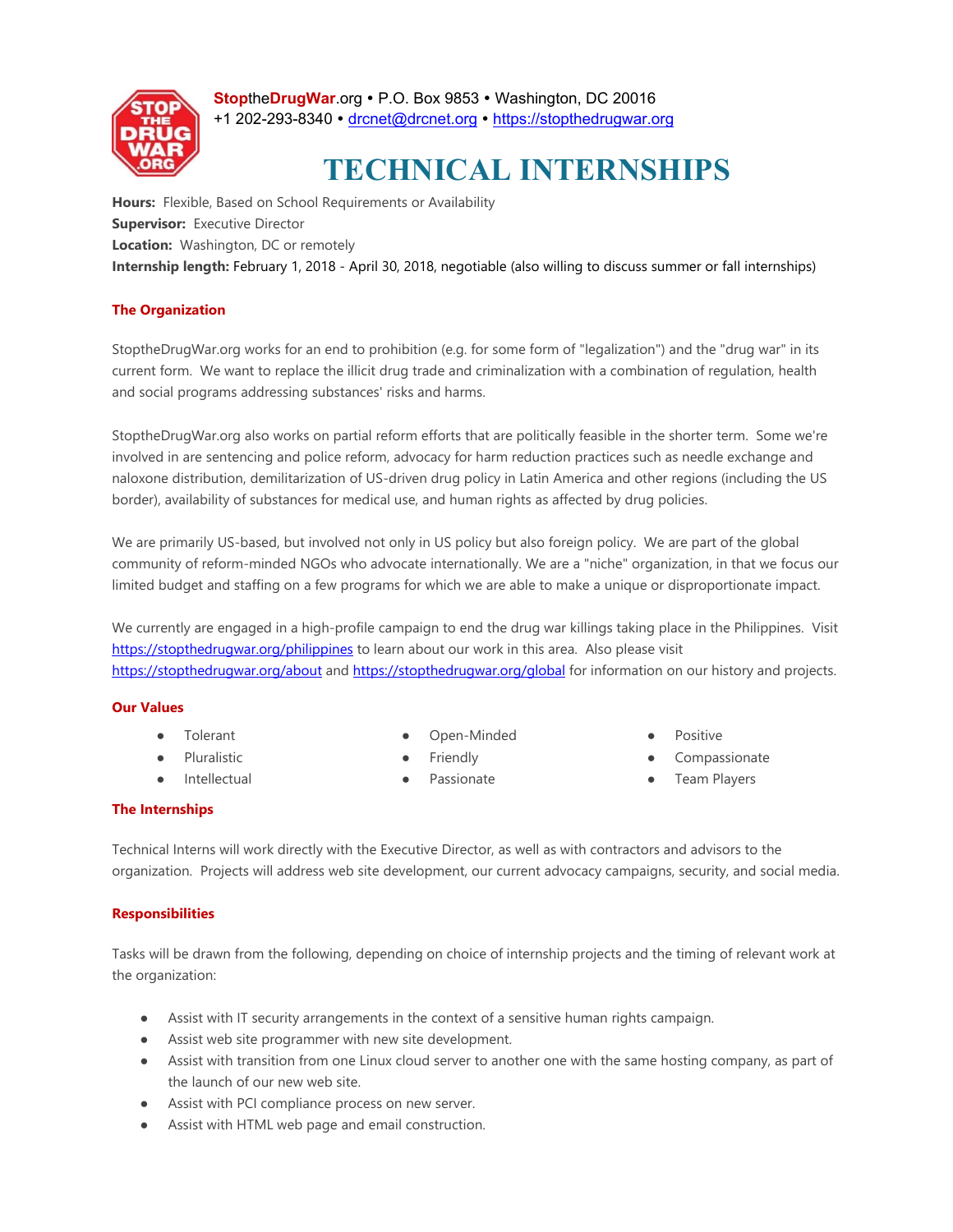

**StopheDrugWar.org • P.O. Box 9853 • Washington, DC 20016** +1 202-293-8340 · drcnet@drcnet.org · https://stopthedrugwar.org

# **TECHNICAL INTERNSHIPS**

**Hours:** Flexible, Based on School Requirements or Availability **Supervisor:** Executive Director **Location:** Washington, DC or remotely **Internship length:** February 1, 2018 - April 30, 2018, negotiable (also willing to discuss summer or fall internships)

# **The Organization**

StoptheDrugWar.org works for an end to prohibition (e.g. for some form of "legalization") and the "drug war" in its current form. We want to replace the illicit drug trade and criminalization with a combination of regulation, health and social programs addressing substances' risks and harms.

StoptheDrugWar.org also works on partial reform efforts that are politically feasible in the shorter term. Some we're involved in are sentencing and police reform, advocacy for harm reduction practices such as needle exchange and naloxone distribution, demilitarization of US-driven drug policy in Latin America and other regions (including the US border), availability of substances for medical use, and human rights as affected by drug policies.

We are primarily US-based, but involved not only in US policy but also foreign policy. We are part of the global community of reform-minded NGOs who advocate internationally. We are a "niche" organization, in that we focus our limited budget and staffing on a few programs for which we are able to make a unique or disproportionate impact.

We currently are engaged in a high-profile campaign to end the drug war killings taking place in the Philippines. Visit https://stopthedrugwar.org/philippines to learn about our work in this area. Also please visit https://stopthedrugwar.org/about and https://stopthedrugwar.org/global for information on our history and projects.

#### **Our Values**

- Tolerant
- Pluralistic
- Intellectual
- Open-Minded
- **Friendly**
- Passionate
- Positive
- Compassionate
- **Team Players**

#### **The Internships**

Technical Interns will work directly with the Executive Director, as well as with contractors and advisors to the organization. Projects will address web site development, our current advocacy campaigns, security, and social media.

#### **Responsibilities**

Tasks will be drawn from the following, depending on choice of internship projects and the timing of relevant work at the organization:

- Assist with IT security arrangements in the context of a sensitive human rights campaign.
- Assist web site programmer with new site development.
- Assist with transition from one Linux cloud server to another one with the same hosting company, as part of the launch of our new web site.
- Assist with PCI compliance process on new server.
- Assist with HTML web page and email construction.